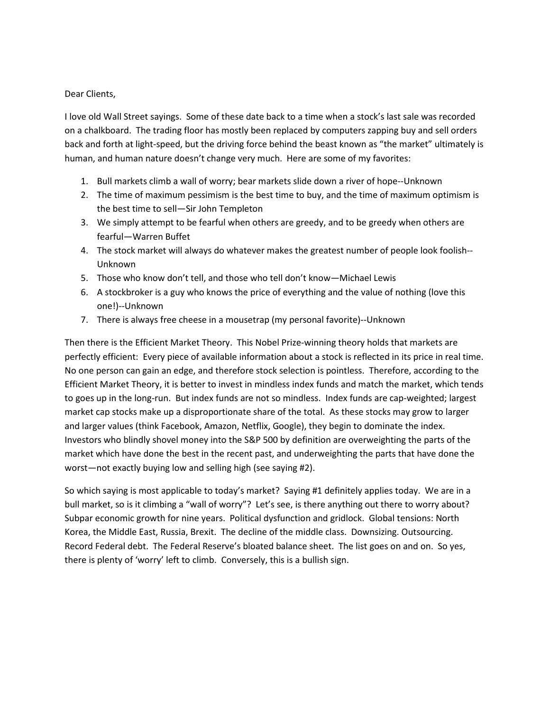## Dear Clients,

I love old Wall Street sayings. Some of these date back to a time when a stock's last sale was recorded on a chalkboard. The trading floor has mostly been replaced by computers zapping buy and sell orders back and forth at light-speed, but the driving force behind the beast known as "the market" ultimately is human, and human nature doesn't change very much. Here are some of my favorites:

- 1. Bull markets climb a wall of worry; bear markets slide down a river of hope--Unknown
- 2. The time of maximum pessimism is the best time to buy, and the time of maximum optimism is the best time to sell—Sir John Templeton
- 3. We simply attempt to be fearful when others are greedy, and to be greedy when others are fearful—Warren Buffet
- 4. The stock market will always do whatever makes the greatest number of people look foolish-- Unknown
- 5. Those who know don't tell, and those who tell don't know—Michael Lewis
- 6. A stockbroker is a guy who knows the price of everything and the value of nothing (love this one!)--Unknown
- 7. There is always free cheese in a mousetrap (my personal favorite)--Unknown

Then there is the Efficient Market Theory. This Nobel Prize-winning theory holds that markets are perfectly efficient: Every piece of available information about a stock is reflected in its price in real time. No one person can gain an edge, and therefore stock selection is pointless. Therefore, according to the Efficient Market Theory, it is better to invest in mindless index funds and match the market, which tends to goes up in the long-run. But index funds are not so mindless. Index funds are cap-weighted; largest market cap stocks make up a disproportionate share of the total. As these stocks may grow to larger and larger values (think Facebook, Amazon, Netflix, Google), they begin to dominate the index. Investors who blindly shovel money into the S&P 500 by definition are overweighting the parts of the market which have done the best in the recent past, and underweighting the parts that have done the worst—not exactly buying low and selling high (see saying #2).

So which saying is most applicable to today's market? Saying #1 definitely applies today. We are in a bull market, so is it climbing a "wall of worry"? Let's see, is there anything out there to worry about? Subpar economic growth for nine years. Political dysfunction and gridlock. Global tensions: North Korea, the Middle East, Russia, Brexit. The decline of the middle class. Downsizing. Outsourcing. Record Federal debt. The Federal Reserve's bloated balance sheet. The list goes on and on. So yes, there is plenty of 'worry' left to climb. Conversely, this is a bullish sign.